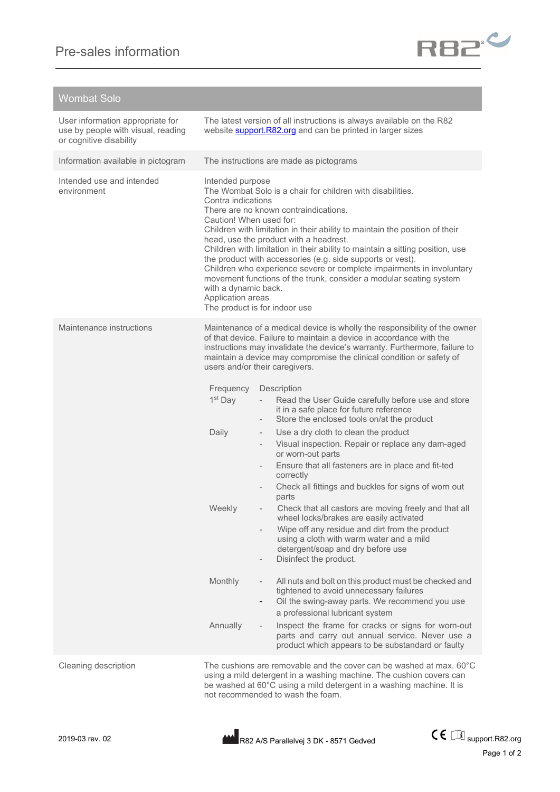

## Wombat Solo

| User information appropriate for<br>use by people with visual, reading<br>or cognitive disability | The latest version of all instructions is always available on the R82<br>website <b>support.R82.org</b> and can be printed in larger sizes                                                                                                                                                                                                                                                                                                                                                                                                                                                                                                                                    |                                                                                                                                                                                                                                                                                                                                                                                                                                                                                                                                                                                                                                                                                                                                                                                                                                                                   |
|---------------------------------------------------------------------------------------------------|-------------------------------------------------------------------------------------------------------------------------------------------------------------------------------------------------------------------------------------------------------------------------------------------------------------------------------------------------------------------------------------------------------------------------------------------------------------------------------------------------------------------------------------------------------------------------------------------------------------------------------------------------------------------------------|-------------------------------------------------------------------------------------------------------------------------------------------------------------------------------------------------------------------------------------------------------------------------------------------------------------------------------------------------------------------------------------------------------------------------------------------------------------------------------------------------------------------------------------------------------------------------------------------------------------------------------------------------------------------------------------------------------------------------------------------------------------------------------------------------------------------------------------------------------------------|
| Information available in pictogram                                                                | The instructions are made as pictograms                                                                                                                                                                                                                                                                                                                                                                                                                                                                                                                                                                                                                                       |                                                                                                                                                                                                                                                                                                                                                                                                                                                                                                                                                                                                                                                                                                                                                                                                                                                                   |
| Intended use and intended<br>environment                                                          | Intended purpose<br>The Wombat Solo is a chair for children with disabilities.<br>Contra indications<br>There are no known contraindications.<br>Caution! When used for:<br>Children with limitation in their ability to maintain the position of their<br>head, use the product with a headrest.<br>Children with limitation in their ability to maintain a sitting position, use<br>the product with accessories (e.g. side supports or vest).<br>Children who experience severe or complete impairments in involuntary<br>movement functions of the trunk, consider a modular seating system<br>with a dynamic back.<br>Application areas<br>The product is for indoor use |                                                                                                                                                                                                                                                                                                                                                                                                                                                                                                                                                                                                                                                                                                                                                                                                                                                                   |
| Maintenance instructions                                                                          | users and/or their caregivers.<br>Frequency<br>Description<br>1 <sup>st</sup> Day<br>$\overline{\phantom{0}}$<br>Daily<br>$\overline{\phantom{0}}$<br>$\overline{\phantom{0}}$<br>$\overline{\phantom{0}}$<br>Weekly<br>$\overline{\phantom{a}}$                                                                                                                                                                                                                                                                                                                                                                                                                              | Maintenance of a medical device is wholly the responsibility of the owner<br>of that device. Failure to maintain a device in accordance with the<br>instructions may invalidate the device's warranty. Furthermore, failure to<br>maintain a device may compromise the clinical condition or safety of<br>Read the User Guide carefully before use and store<br>it in a safe place for future reference<br>Store the enclosed tools on/at the product<br>Use a dry cloth to clean the product<br>Visual inspection. Repair or replace any dam-aged<br>or worn-out parts<br>Ensure that all fasteners are in place and fit-ted<br>correctly<br>Check all fittings and buckles for signs of worn out<br>parts<br>Check that all castors are moving freely and that all<br>wheel locks/brakes are easily activated<br>Wipe off any residue and dirt from the product |
|                                                                                                   |                                                                                                                                                                                                                                                                                                                                                                                                                                                                                                                                                                                                                                                                               | using a cloth with warm water and a mild<br>detergent/soap and dry before use<br>Disinfect the product.                                                                                                                                                                                                                                                                                                                                                                                                                                                                                                                                                                                                                                                                                                                                                           |
|                                                                                                   | Monthly<br>$\overline{\phantom{0}}$                                                                                                                                                                                                                                                                                                                                                                                                                                                                                                                                                                                                                                           | All nuts and bolt on this product must be checked and<br>tightened to avoid unnecessary failures<br>Oil the swing-away parts. We recommend you use<br>a professional lubricant system                                                                                                                                                                                                                                                                                                                                                                                                                                                                                                                                                                                                                                                                             |
|                                                                                                   | Annually                                                                                                                                                                                                                                                                                                                                                                                                                                                                                                                                                                                                                                                                      | Inspect the frame for cracks or signs for worn-out<br>parts and carry out annual service. Never use a<br>product which appears to be substandard or faulty                                                                                                                                                                                                                                                                                                                                                                                                                                                                                                                                                                                                                                                                                                        |
| Cleaning description                                                                              | The cushions are removable and the cover can be washed at max. 60°C<br>using a mild detergent in a washing machine. The cushion covers can<br>be washed at 60°C using a mild detergent in a washing machine. It is<br>not recommended to wash the foam.                                                                                                                                                                                                                                                                                                                                                                                                                       |                                                                                                                                                                                                                                                                                                                                                                                                                                                                                                                                                                                                                                                                                                                                                                                                                                                                   |